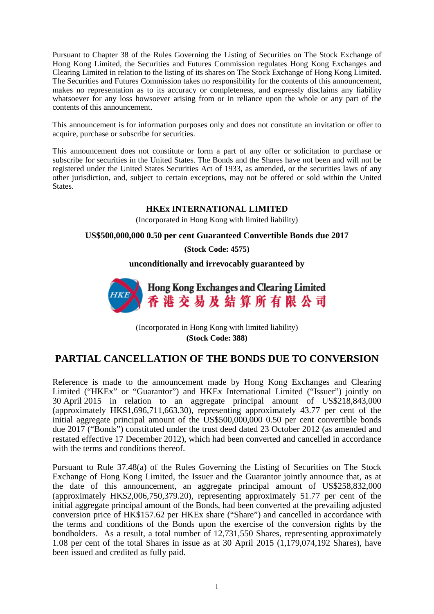Pursuant to Chapter 38 of the Rules Governing the Listing of Securities on The Stock Exchange of Hong Kong Limited, the Securities and Futures Commission regulates Hong Kong Exchanges and Clearing Limited in relation to the listing of its shares on The Stock Exchange of Hong Kong Limited. The Securities and Futures Commission takes no responsibility for the contents of this announcement, makes no representation as to its accuracy or completeness, and expressly disclaims any liability whatsoever for any loss howsoever arising from or in reliance upon the whole or any part of the contents of this announcement.

This announcement is for information purposes only and does not constitute an invitation or offer to acquire, purchase or subscribe for securities.

This announcement does not constitute or form a part of any offer or solicitation to purchase or subscribe for securities in the United States. The Bonds and the Shares have not been and will not be registered under the United States Securities Act of 1933, as amended, or the securities laws of any other jurisdiction, and, subject to certain exceptions, may not be offered or sold within the United States.

## **HKEx INTERNATIONAL LIMITED**

(Incorporated in Hong Kong with limited liability)

## **US\$500,000,000 0.50 per cent Guaranteed Convertible Bonds due 2017**

**(Stock Code: 4575)**

**unconditionally and irrevocably guaranteed by**



(Incorporated in Hong Kong with limited liability) **(Stock Code: 388)**

## **PARTIAL CANCELLATION OF THE BONDS DUE TO CONVERSION**

Reference is made to the announcement made by Hong Kong Exchanges and Clearing Limited ("HKEx" or "Guarantor") and HKEx International Limited ("Issuer") jointly on 30 April 2015 in relation to an aggregate principal amount of US\$218,843,000 (approximately HK\$1,696,711,663.30), representing approximately 43.77 per cent of the initial aggregate principal amount of the US\$500,000,000 0.50 per cent convertible bonds due 2017 ("Bonds") constituted under the trust deed dated 23 October 2012 (as amended and restated effective 17 December 2012), which had been converted and cancelled in accordance with the terms and conditions thereof.

Pursuant to Rule 37.48(a) of the Rules Governing the Listing of Securities on The Stock Exchange of Hong Kong Limited, the Issuer and the Guarantor jointly announce that, as at the date of this announcement, an aggregate principal amount of US\$258,832,000 (approximately HK\$2,006,750,379.20), representing approximately 51.77 per cent of the initial aggregate principal amount of the Bonds, had been converted at the prevailing adjusted conversion price of HK\$157.62 per HKEx share ("Share") and cancelled in accordance with the terms and conditions of the Bonds upon the exercise of the conversion rights by the bondholders. As a result, a total number of 12,731,550 Shares, representing approximately 1.08 per cent of the total Shares in issue as at 30 April 2015 (1,179,074,192 Shares), have been issued and credited as fully paid.